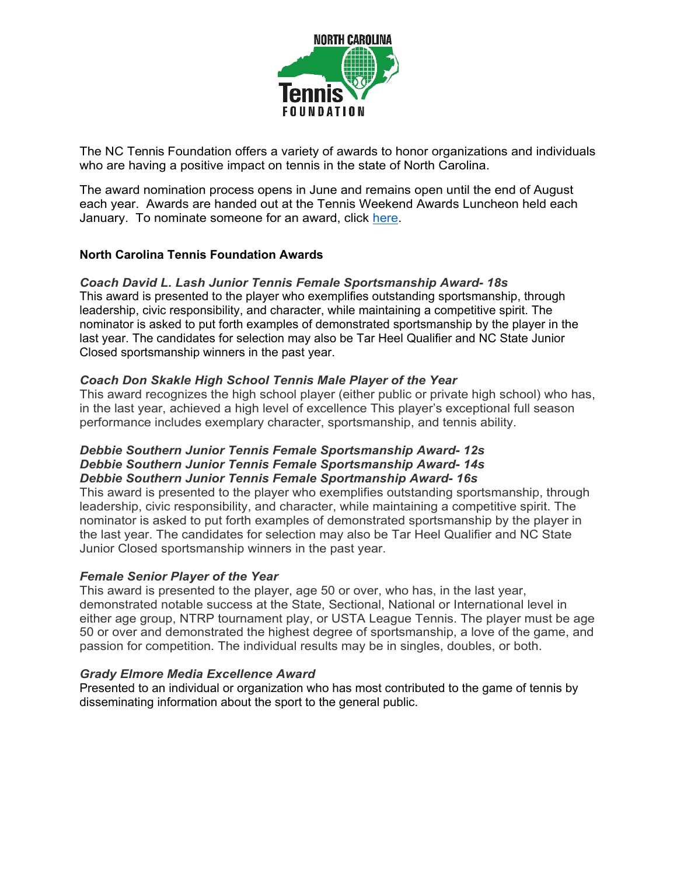

The NC Tennis Foundation offers a variety of awards to honor organizations and individuals who are having a positive impact on tennis in the state of North Carolina.

The award nomination process opens in June and remains open until the end of August each year. Awards are handed out at the Tennis Weekend Awards Luncheon held each January. To nominate someone for an award, click [here.](http://www.southerntennis.info/awards?s=nc)

## **North Carolina Tennis Foundation Awards**

#### *Coach David L. Lash Junior Tennis Female Sportsmanship Award 18s*

This award is presented to the player who exemplifies outstanding sportsmanship, through leadership, civic responsibility, and character, while maintaining a competitive spirit. The nominator is asked to put forth examples of demonstrated sportsmanship by the player in the last year. The candidates for selection may also be Tar Heel Qualifier and NC State Junior Closed sportsmanship winners in the past year.

#### *Coach Don Skakle High School Tennis Male Player of the Year*

This award recognizes the high school player (either public or private high school) who has, in the last year, achieved a high level of excellence This player's exceptional full season performance includes exemplary character, sportsmanship, and tennis ability.

#### **Debbie Southern Junior Tennis Female Sportsmanship Award- 12s Debbie Southern Junior Tennis Female Sportsmanship Award-14s Debbie Southern Junior Tennis Female Sportmanship Award-16s**

This award is presented to the player who exemplifies outstanding sportsmanship, through leadership, civic responsibility, and character, while maintaining a competitive spirit. The nominator is asked to put forth examples of demonstrated sportsmanship by the player in the last year. The candidates for selection may also be Tar Heel Qualifier and NC State Junior Closed sportsmanship winners in the past year.

#### *Female Senior Player of the Year*

This award is presented to the player, age 50 or over, who has, in the last year, demonstrated notable success at the State, Sectional, National or International level in either age group, NTRP tournament play, or USTA League Tennis. The player must be age 50 or over and demonstrated the highest degree of sportsmanship, a love of the game, and passion for competition. The individual results may be in singles, doubles, or both.

#### *Grady Elmore Media Excellence Award*

Presented to an individual or organization who has most contributed to the game of tennis by disseminating information about the sport to the general public.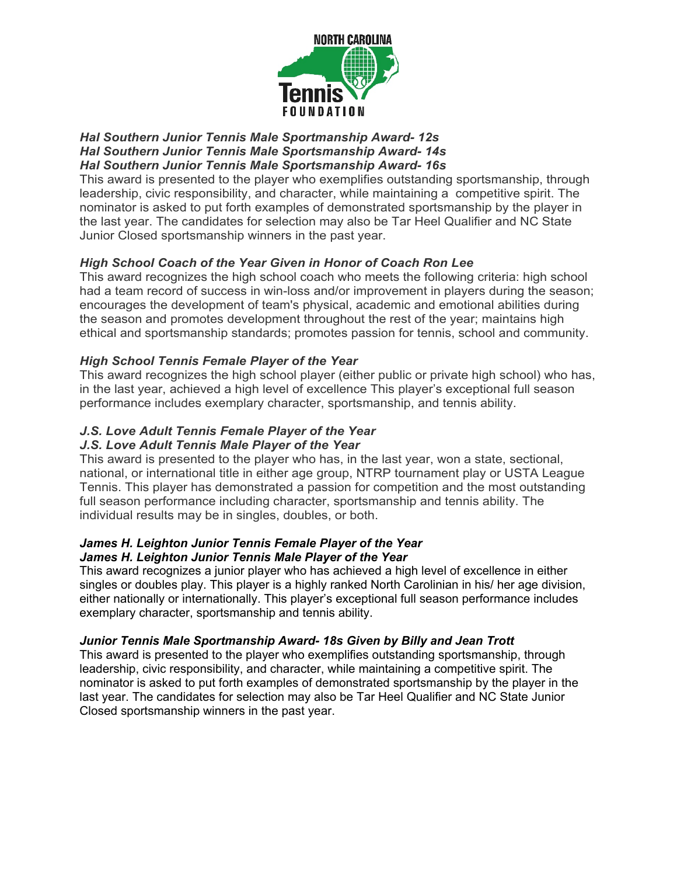

#### **Hal Southern Junior Tennis Male Sportmanship Award-12s Hal Southern Junior Tennis Male Sportsmanship Award-14s Hal Southern Junior Tennis Male Sportsmanship Award-16s**

This award is presented to the player who exemplifies outstanding sportsmanship, through leadership, civic responsibility, and character, while maintaining a competitive spirit. The nominator is asked to put forth examples of demonstrated sportsmanship by the player in the last year. The candidates for selection may also be Tar Heel Qualifier and NC State Junior Closed sportsmanship winners in the past year.

# *High School Coach of the Year Given in Honor of Coach Ron Lee*

This award recognizes the high school coach who meets the following criteria: high school had a team record of success in win-loss and/or improvement in players during the season; encourages the development of team's physical, academic and emotional abilities during the season and promotes development throughout the rest of the year; maintains high ethical and sportsmanship standards; promotes passion for tennis, school and community.

# *High School Tennis Female Player of the Year*

This award recognizes the high school player (either public or private high school) who has, in the last year, achieved a high level of excellence This player's exceptional full season performance includes exemplary character, sportsmanship, and tennis ability.

# *J.S. Love Adult Tennis Female Player of the Year*

# *J.S. Love Adult Tennis Male Player of the Year*

This award is presented to the player who has, in the last year, won a state, sectional, national, or international title in either age group, NTRP tournament play or USTA League Tennis. This player has demonstrated a passion for competition and the most outstanding full season performance including character, sportsmanship and tennis ability. The individual results may be in singles, doubles, or both.

## *James H. Leighton Junior Tennis Female Player of the Year James H. Leighton Junior Tennis Male Player of the Year*

This award recognizes a junior player who has achieved a high level of excellence in either singles or doubles play. This player is a highly ranked North Carolinian in his/ her age division, either nationally or internationally. This player's exceptional full season performance includes exemplary character, sportsmanship and tennis ability.

# *Junior Tennis Male Sportmanship Award 18s Given by Billy and Jean Trott*

This award is presented to the player who exemplifies outstanding sportsmanship, through leadership, civic responsibility, and character, while maintaining a competitive spirit. The nominator is asked to put forth examples of demonstrated sportsmanship by the player in the last year. The candidates for selection may also be Tar Heel Qualifier and NC State Junior Closed sportsmanship winners in the past year.